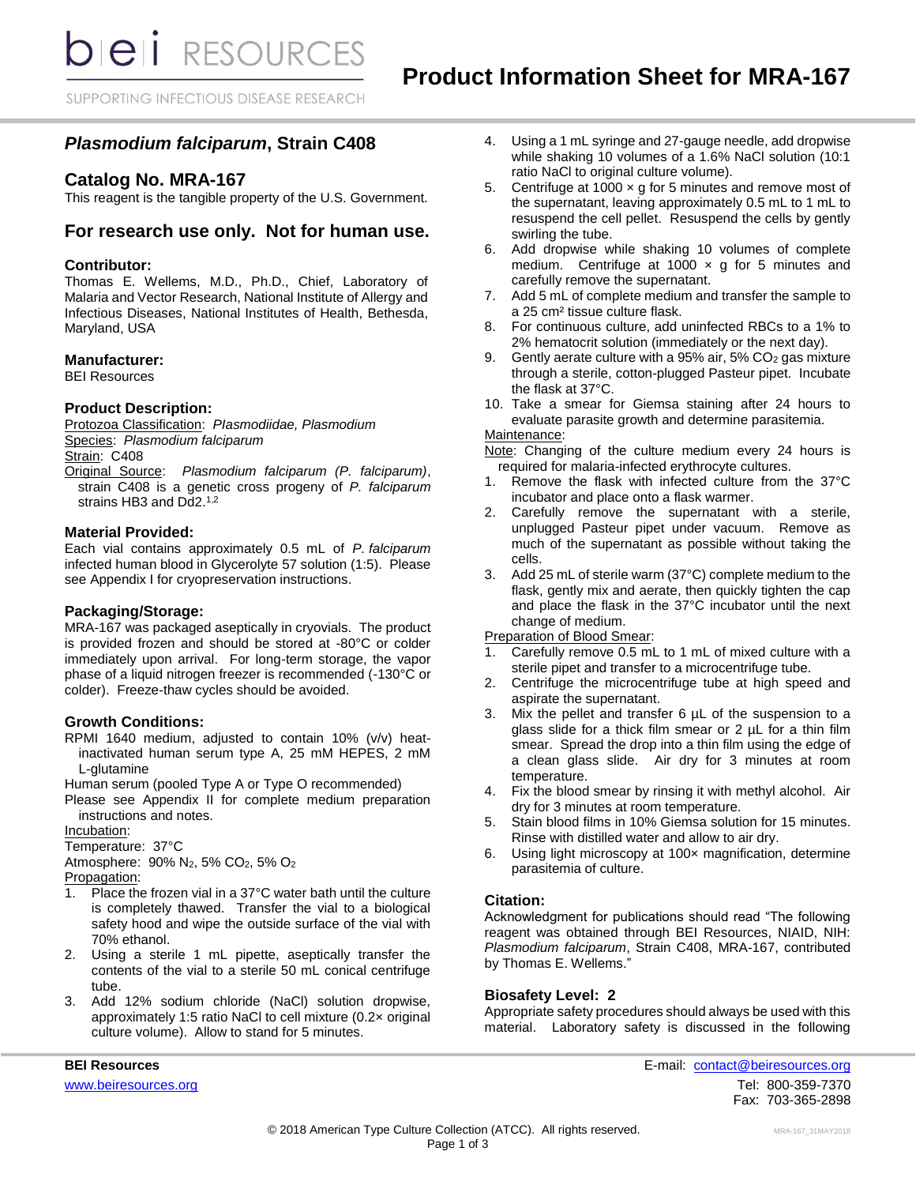**bieli** RESOURCES

SUPPORTING INFECTIOUS DISEASE RESEARCH

# *Plasmodium falciparum***, Strain C408**

# **Catalog No. MRA-167**

This reagent is the tangible property of the U.S. Government.

# **For research use only. Not for human use.**

# **Contributor:**

Thomas E. Wellems, M.D., Ph.D., Chief, Laboratory of Malaria and Vector Research, National Institute of Allergy and Infectious Diseases, National Institutes of Health, Bethesda, Maryland, USA

### **Manufacturer:**

BEI Resources

### **Product Description:**

Protozoa Classification: *PIasmodiidae, Plasmodium* Species: *Plasmodium falciparum* Strain: C408 Original Source: *Plasmodium falciparum (P. falciparum)*,

strain C408 is a genetic cross progeny of *P. falciparum* strains HB3 and Dd2.<sup>1,2</sup>

### **Material Provided:**

Each vial contains approximately 0.5 mL of *P. falciparum* infected human blood in Glycerolyte 57 solution (1:5). Please see Appendix I for cryopreservation instructions.

#### **Packaging/Storage:**

MRA-167 was packaged aseptically in cryovials. The product is provided frozen and should be stored at -80°C or colder immediately upon arrival. For long-term storage, the vapor phase of a liquid nitrogen freezer is recommended (-130°C or colder). Freeze-thaw cycles should be avoided.

#### **Growth Conditions:**

RPMI 1640 medium, adjusted to contain 10% (v/v) heatinactivated human serum type A, 25 mM HEPES, 2 mM L-glutamine

Human serum (pooled Type A or Type O recommended)

Please see Appendix II for complete medium preparation instructions and notes.

Incubation:

Temperature: 37°C

Atmosphere: 90% N2, 5% CO2, 5% O<sup>2</sup> Propagation:

- 1. Place the frozen vial in a 37°C water bath until the culture is completely thawed. Transfer the vial to a biological safety hood and wipe the outside surface of the vial with 70% ethanol.
- 2. Using a sterile 1 mL pipette, aseptically transfer the contents of the vial to a sterile 50 mL conical centrifuge tube.
- 3. Add 12% sodium chloride (NaCl) solution dropwise, approximately 1:5 ratio NaCl to cell mixture (0.2× original culture volume). Allow to stand for 5 minutes.
- 4. Using a 1 mL syringe and 27-gauge needle, add dropwise while shaking 10 volumes of a 1.6% NaCl solution (10:1 ratio NaCl to original culture volume).
- 5. Centrifuge at 1000  $\times$  g for 5 minutes and remove most of the supernatant, leaving approximately 0.5 mL to 1 mL to resuspend the cell pellet. Resuspend the cells by gently swirling the tube.
- 6. Add dropwise while shaking 10 volumes of complete medium. Centrifuge at 1000  $\times$  g for 5 minutes and carefully remove the supernatant.
- 7. Add 5 mL of complete medium and transfer the sample to a 25 cm² tissue culture flask.
- 8. For continuous culture, add uninfected RBCs to a 1% to 2% hematocrit solution (immediately or the next day).
- 9. Gently aerate culture with a 95% air, 5% CO<sup>2</sup> gas mixture through a sterile, cotton-plugged Pasteur pipet. Incubate the flask at 37°C.
- 10. Take a smear for Giemsa staining after 24 hours to evaluate parasite growth and determine parasitemia.

# Maintenance:

Note: Changing of the culture medium every 24 hours is required for malaria-infected erythrocyte cultures.

- 1. Remove the flask with infected culture from the 37°C incubator and place onto a flask warmer.
- 2. Carefully remove the supernatant with a sterile, unplugged Pasteur pipet under vacuum. Remove as much of the supernatant as possible without taking the cells.
- 3. Add 25 mL of sterile warm (37°C) complete medium to the flask, gently mix and aerate, then quickly tighten the cap and place the flask in the 37°C incubator until the next change of medium.

Preparation of Blood Smear:

- 1. Carefully remove 0.5 mL to 1 mL of mixed culture with a sterile pipet and transfer to a microcentrifuge tube.
- 2. Centrifuge the microcentrifuge tube at high speed and aspirate the supernatant.
- 3. Mix the pellet and transfer 6 µL of the suspension to a glass slide for a thick film smear or 2 µL for a thin film smear. Spread the drop into a thin film using the edge of a clean glass slide. Air dry for 3 minutes at room temperature.
- 4. Fix the blood smear by rinsing it with methyl alcohol. Air dry for 3 minutes at room temperature.
- 5. Stain blood films in 10% Giemsa solution for 15 minutes. Rinse with distilled water and allow to air dry.
- 6. Using light microscopy at 100× magnification, determine parasitemia of culture.

### **Citation:**

Acknowledgment for publications should read "The following reagent was obtained through BEI Resources, NIAID, NIH: *Plasmodium falciparum*, Strain C408, MRA-167, contributed by Thomas E. Wellems."

#### **Biosafety Level: 2**

Appropriate safety procedures should always be used with this material. Laboratory safety is discussed in the following

**BEI Resources** E-mail: [contact@beiresources.org](mailto:contact@beiresources.org) [www.beiresources.org](http://www.beiresources.org/)Tel: 800-359-7370 Fax: 703-365-2898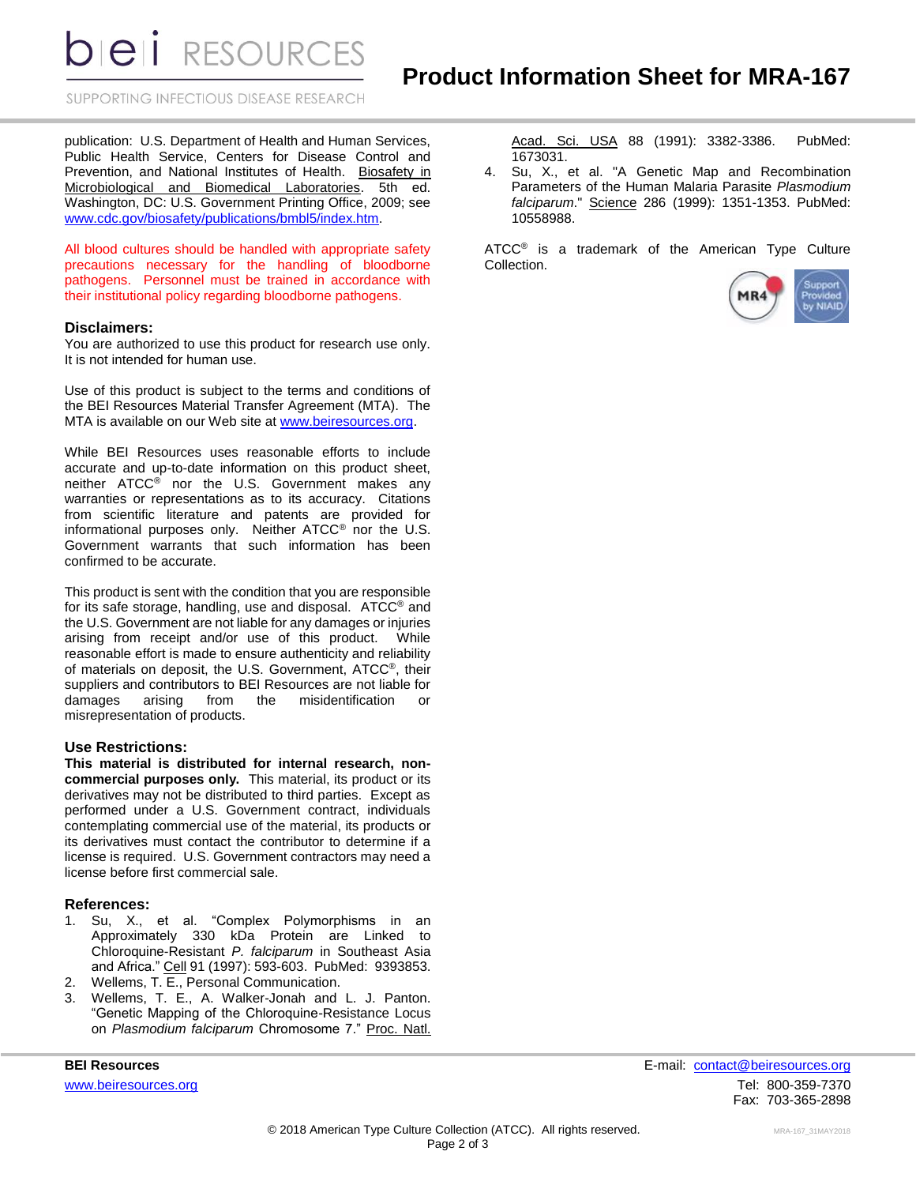**DIEII** RESOURCES

SUPPORTING INFECTIOUS DISEASE RESEARCH

publication: U.S. Department of Health and Human Services, Public Health Service, Centers for Disease Control and Prevention, and National Institutes of Health. Biosafety in Microbiological and Biomedical Laboratories. 5th ed. Washington, DC: U.S. Government Printing Office, 2009; see [www.cdc.gov/biosafety/publications/bmbl5/index.htm.](http://www.cdc.gov/biosafety/publications/bmbl5/index.htm)

All blood cultures should be handled with appropriate safety precautions necessary for the handling of bloodborne pathogens. Personnel must be trained in accordance with their institutional policy regarding bloodborne pathogens.

### **Disclaimers:**

You are authorized to use this product for research use only. It is not intended for human use.

Use of this product is subject to the terms and conditions of the BEI Resources Material Transfer Agreement (MTA). The MTA is available on our Web site at [www.beiresources.org.](http://www.beiresources.org/)

While BEI Resources uses reasonable efforts to include accurate and up-to-date information on this product sheet, neither ATCC® nor the U.S. Government makes any warranties or representations as to its accuracy. Citations from scientific literature and patents are provided for informational purposes only. Neither ATCC® nor the U.S. Government warrants that such information has been confirmed to be accurate.

This product is sent with the condition that you are responsible for its safe storage, handling, use and disposal. ATCC® and the U.S. Government are not liable for any damages or injuries arising from receipt and/or use of this product. While reasonable effort is made to ensure authenticity and reliability of materials on deposit, the U.S. Government, ATCC®, their suppliers and contributors to BEI Resources are not liable for damages arising from the misidentification or misrepresentation of products.

### **Use Restrictions:**

**This material is distributed for internal research, noncommercial purposes only.** This material, its product or its derivatives may not be distributed to third parties. Except as performed under a U.S. Government contract, individuals contemplating commercial use of the material, its products or its derivatives must contact the contributor to determine if a license is required. U.S. Government contractors may need a license before first commercial sale.

#### **References:**

- 1. Su, X., et al. "Complex Polymorphisms in an Approximately 330 kDa Protein are Linked to Chloroquine-Resistant *P. falciparum* in Southeast Asia and Africa." Cell 91 (1997): 593-603. PubMed: 9393853.
- 2. Wellems, T. E., Personal Communication.
- 3. Wellems, T. E., A. Walker-Jonah and L. J. Panton. "Genetic Mapping of the Chloroquine-Resistance Locus on *Plasmodium falciparum* Chromosome 7." Proc. Natl.

Acad. Sci. USA 88 (1991): 3382-3386. PubMed: 1673031.

4. Su, X., et al. "A Genetic Map and Recombination Parameters of the Human Malaria Parasite *Plasmodium falciparum*." Science 286 (1999): 1351-1353. PubMed: 10558988.

ATCC<sup>®</sup> is a trademark of the American Type Culture Collection.